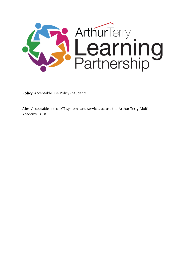

Policy: Acceptable Use Policy - Students

Aim: Acceptable use of ICT systems and services across the Arthur Terry Multi-Academy Trust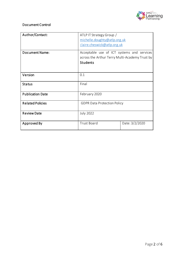

## Document Control

| Author/Contact:         | ATLP IT Strategy Group /<br>michelle.doughty@atlp.org.uk<br>claire.cheswick@atlp.org.uk                         |                |
|-------------------------|-----------------------------------------------------------------------------------------------------------------|----------------|
| <b>Document Name:</b>   | Acceptable use of ICT systems and services<br>across the Arthur Terry Multi-Academy Trust by<br><b>Students</b> |                |
| Version                 | 0.1                                                                                                             |                |
| <b>Status</b>           | Final                                                                                                           |                |
| <b>Publication Date</b> | February 2020                                                                                                   |                |
| <b>Related Policies</b> | <b>GDPR Data Protection Policy</b>                                                                              |                |
| <b>Review Date</b>      | <b>July 2022</b>                                                                                                |                |
| Approved By             | <b>Trust Board</b>                                                                                              | Date: 3/2/2020 |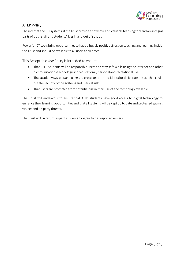

## ATLP Policy

The internet and ICT systems at the Trust provide a powerful and valuable teaching tool and are integral parts of both staff and students' lives in and out of school.

Powerful ICT tools bring opportunities to have a hugely positive effect on teaching and learning inside the Trust and should be available to all users at all times.

This Acceptable Use Policy is intended to ensure:

- That ATLP students will be responsible users and stay safe while using the internet and other communications technologies for educational, personal and recreational use.
- That academy systems and users are protected from accidental or deliberate misuse that could put the security of the systems and users at risk.
- That users are protected from potential risk in their use of the technology available

The Trust will endeavour to ensure that ATLP students have good access to digital technology to enhance their learning opportunities and that all systems will be kept up to date and protected against viruses and 3<sup>rd</sup> party threats.

The Trust will, in return, expect studentsto agree to be responsible users.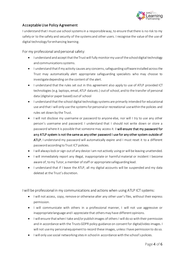

## Acceptable Use Policy Agreement

I understand that I must use school systems in a responsible way, to ensure that there is no risk to my safety or to the safety and security of the systems and other users. I recognise the value of the use of digital technology for enhancing learning.

For my professional and personal safety:

- I understand and acceptthat the Trust will fully monitor my use of the school digital technology and communications systems.
- I understand that if my activity causes any concerns, safeguarding software installed across the Trust may automatically alert appropriate safeguarding specialists who may choose to investigate depending on the content of the alert.
- I understand that the rules set out in this agreement also apply to use of ATLP provided ICT technologies (e.g. laptops, email, ATLP data etc.) out of school, and to the transfer of personal data (digital or paper based) out of school
- I understand that the school digital technology systems are primarily intended for educational use and that I will only use the systems for personal or recreational use within the policies and rules set down by the Trust.
- I will not disclose my username or password to anyone else, nor will I try to use any other person's username and password. I understand that I should not write down or store a password where it is possible that someone may access it. I will ensure that my password for any ATLP system is not the same as any other password I use for any other system outside of ATLP. I understand my password will automatically expire and I must reset it to a different password according to Trust ICT policies.
- I will always lock or sign out of any device I am not actively using or will be leaving unattended.
- I will immediately report any illegal, inappropriate or harmful material or incident I become aware of, to my Tutor, a member of staff or appropriate safeguarding lead.
- I understand that if I leave the ATLP, all my digital accounts will be suspended and my data deleted at the Trust's discretion.

I will be professional in my communications and actions when using ATLP ICT systems:

- I will not access, copy, remove or otherwise alter any other user's files, without their express permission.
- I will communicate with others in a professional manner, I will not use aggressive or inappropriate language and I appreciate that others may have different opinions.
- I will ensure that when I take and/or publish images of others I will do so with their permission and in accordance with the TrustsGDPR policy guidance on consent for digital/video images. I will not use my personal equipment to record these images, unless I have permission to do so.
- I will only use social networking sites in school in accordance with the school's policies.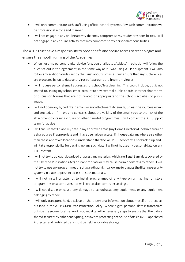

- I will only communicate with staff using official school systems. Any such communication will be professional in tone and manner.
- I will not engage in any on-line activity that may compromise my studentresponsibilities. I will not engage in any on-line activity that may compromise my personal responsibilities.

The ATLP Trust have a responsibility to provide safe and secure access to technologies and ensure the smooth running of the Academies:

- When I use my personal digital device (e.g. personal laptop/tablets) in school, I will follow the rules set out in this agreement, in the same way as if I was using ATLP equipment. I will also follow any additional rules set by the Trust about such use. I will ensure that any such devices are protected by up to date anti-virus software and are free from viruses.
- I will not use personal email addresses for school/Trustlearning. This could include, but is not limited to, linking my school email account to any external public boards, internet chat rooms or discussion forums that are not related or appropriate to the schools activities or public image.
- I will not open any hyperlinks in emails or any attachments to emails, unless the source is known and trusted, or if I have any concerns about the validity of the email (due to the risk of the attachment containing viruses or other harmful programmes) I will contact the ICT Support team for advice
- I will ensure that I place my data in my approved areas (my Home Directory/OneDrive area) or a shared area if appropriate and I have been given access. If I house data anywhere else other than these approved locations I understand that the ATLP ICT service will not back it up and I will take responsibility for backing up any such data. I will not house any personal data on any ATLP system.
- I will not try to upload, download or access any materials which are illegal (any data covered by the Obscene Publications Act) or inappropriate or may cause harm or distress to others. I will not try to use any programmes or software that might allow me to bypass the filtering/security systems in place to prevent access to such materials.
- I will not install or attempt to install programmes of any type on a machine, or store programmes on a computer, nor will I try to alter computer settings.
- I will not disable or cause any damage to school/academy equipment, or any equipment belonging to others.
- I will only transport, hold, disclose or share personal information about myself or others, as outlined in the ATLP GDPR Data Protection Policy. Where digital personal data is transferred outside the secure local network, you must take the necessary steps to ensure that the data is shared securely by either encrypting, password protecting or the use of office365. Paper based Protected and restricted data must be held in lockable storage.